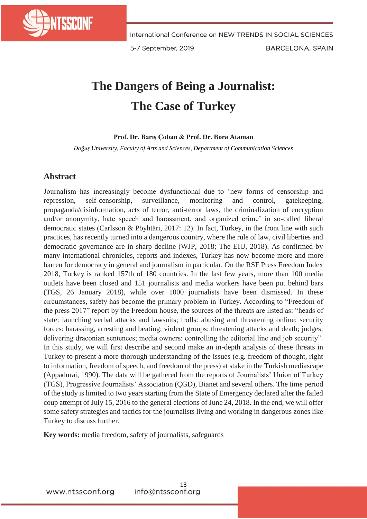

5-7 September, 2019

**BARCELONA, SPAIN** 

## **The Dangers of Being a Journalist: The Case of Turkey**

## **Prof. Dr. Barış Çoban & Prof. Dr. Bora Ataman**

*Doğuş University, Faculty of Arts and Sciences, Department of Communication Sciences*

## **Abstract**

Journalism has increasingly become dysfunctional due to 'new forms of censorship and repression, self-censorship, surveillance, monitoring and control, gatekeeping, propaganda/disinformation, acts of terror, anti-terror laws, the criminalization of encryption and/or anonymity, hate speech and harassment, and organized crime' in so-called liberal democratic states (Carlsson & Pöyhtäri, 2017: 12). In fact, Turkey, in the front line with such practices, has recently turned into a dangerous country, where the rule of law, civil liberties and democratic governance are in sharp decline (WJP, 2018; The EIU, 2018). As confirmed by many international chronicles, reports and indexes, Turkey has now become more and more barren for democracy in general and journalism in particular. On the RSF Press Freedom Index 2018, Turkey is ranked 157th of 180 countries. In the last few years, more than 100 media outlets have been closed and 151 journalists and media workers have been put behind bars (TGS, 26 January 2018), while over 1000 journalists have been dismissed. In these circumstances, safety has become the primary problem in Turkey. According to "Freedom of the press 2017" report by the Freedom house, the sources of the threats are listed as: "heads of state: launching verbal attacks and lawsuits; trolls: abusing and threatening online; security forces: harassing, arresting and beating; violent groups: threatening attacks and death; judges: delivering draconian sentences; media owners: controlling the editorial line and job security". In this study, we will first describe and second make an in-depth analysis of these threats in Turkey to present a more thorough understanding of the issues (e.g. freedom of thought, right to information, freedom of speech, and freedom of the press) at stake in the Turkish mediascape (Appadurai, 1990). The data will be gathered from the reports of Journalists' Union of Turkey (TGS), Progressive Journalists' Association (ÇGD), Bianet and several others. The time period of the study is limited to two years starting from the State of Emergency declared after the failed coup attempt of July 15, 2016 to the general elections of June 24, 2018. In the end, we will offer some safety strategies and tactics for the journalists living and working in dangerous zones like Turkey to discuss further.

**Key words:** media freedom, safety of journalists, safeguards